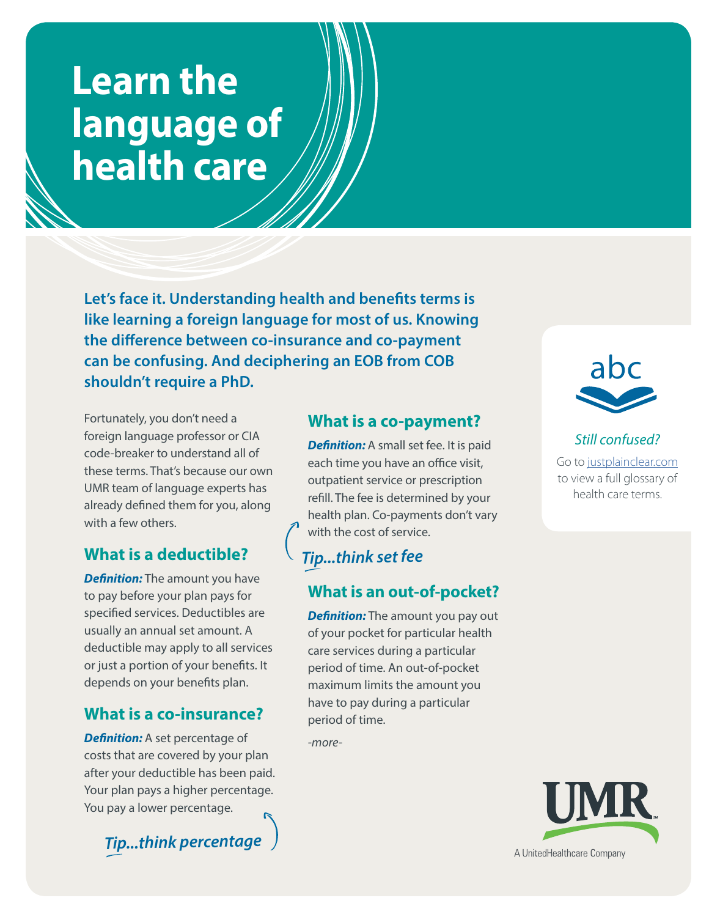# **Learn the language of health care**

**Let's face it. Understanding health and benefits terms is like learning a foreign language for most of us. Knowing the difference between co-insurance and co-payment can be confusing. And deciphering an EOB from COB shouldn't require a PhD.** 

Fortunately, you don't need a foreign language professor or CIA code-breaker to understand all of these terms. That's because our own UMR team of language experts has already defined them for you, along with a few others.

## **What is a deductible?**

*Definition:* The amount you have to pay before your plan pays for specified services. Deductibles are usually an annual set amount. A deductible may apply to all services or just a portion of your benefits. It depends on your benefits plan.

## **What is a co-insurance?**

**Definition:** A set percentage of costs that are covered by your plan after your deductible has been paid. Your plan pays a higher percentage. You pay a lower percentage.

*Tip...think percentage* 

## **What is a co-payment?**

**Definition:** A small set fee. It is paid each time you have an office visit, outpatient service or prescription refill. The fee is determined by your health plan. Co-payments don't vary with the cost of service.

# *Tip...think set fee*

# **What is an out-of-pocket?**

**Definition:** The amount you pay out of your pocket for particular health care services during a particular period of time. An out-of-pocket maximum limits the amount you have to pay during a particular period of time.

*-more-*



#### *Still confused?* Go to justplainclear.com to view a full glossary of health care terms.